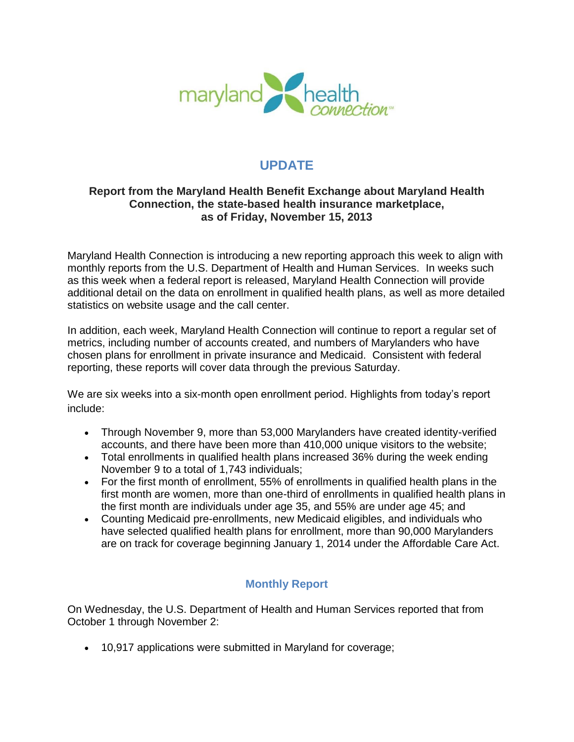

# **UPDATE**

## **Report from the Maryland Health Benefit Exchange about Maryland Health Connection, the state-based health insurance marketplace, as of Friday, November 15, 2013**

Maryland Health Connection is introducing a new reporting approach this week to align with monthly reports from the U.S. Department of Health and Human Services. In weeks such as this week when a federal report is released, Maryland Health Connection will provide additional detail on the data on enrollment in qualified health plans, as well as more detailed statistics on website usage and the call center.

In addition, each week, Maryland Health Connection will continue to report a regular set of metrics, including number of accounts created, and numbers of Marylanders who have chosen plans for enrollment in private insurance and Medicaid. Consistent with federal reporting, these reports will cover data through the previous Saturday.

We are six weeks into a six-month open enrollment period. Highlights from today's report include:

- Through November 9, more than 53,000 Marylanders have created identity-verified accounts, and there have been more than 410,000 unique visitors to the website;
- Total enrollments in qualified health plans increased 36% during the week ending November 9 to a total of 1,743 individuals;
- For the first month of enrollment, 55% of enrollments in qualified health plans in the first month are women, more than one-third of enrollments in qualified health plans in the first month are individuals under age 35, and 55% are under age 45; and
- Counting Medicaid pre-enrollments, new Medicaid eligibles, and individuals who have selected qualified health plans for enrollment, more than 90,000 Marylanders are on track for coverage beginning January 1, 2014 under the Affordable Care Act.

## **Monthly Report**

On Wednesday, the U.S. Department of Health and Human Services reported that from October 1 through November 2:

10,917 applications were submitted in Maryland for coverage;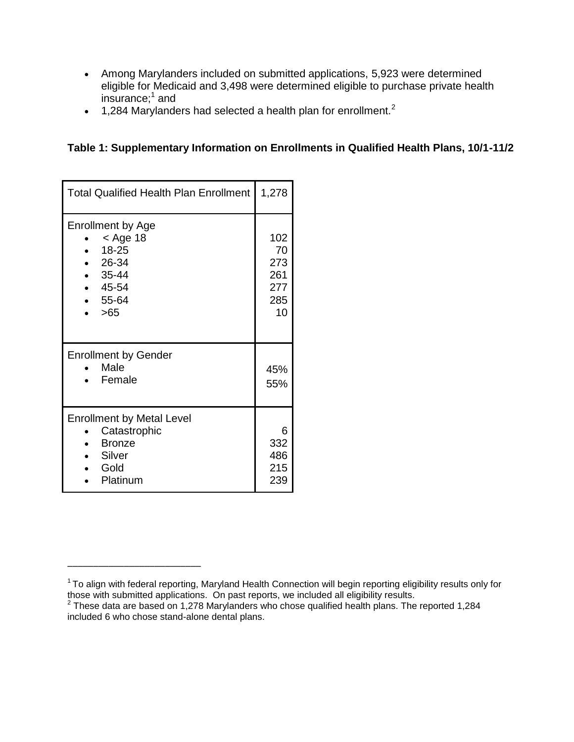- Among Marylanders included on submitted applications, 5,923 were determined eligible for Medicaid and 3,498 were determined eligible to purchase private health insurance; $^1$  and
- $\bullet$  1,284 Marylanders had selected a health plan for enrollment.<sup>2</sup>

**Table 1: Supplementary Information on Enrollments in Qualified Health Plans, 10/1-11/2** 

| <b>Total Qualified Health Plan Enrollment</b>                                                               | 1,278                                       |
|-------------------------------------------------------------------------------------------------------------|---------------------------------------------|
| <b>Enrollment by Age</b><br>$<$ Age 18<br>18-25<br>26-34<br>$-35-44$<br>$-45-54$<br>$-55-64$<br>$\cdot$ >65 | 102<br>70<br>273<br>261<br>277<br>285<br>10 |
| <b>Enrollment by Gender</b><br>Male<br>Female                                                               | 45%<br>55%                                  |
| <b>Enrollment by Metal Level</b><br>Catastrophic<br><b>Bronze</b><br>• Silver<br>• Gold<br>Platinum         | 6<br>332<br>486<br>215<br>239               |

\_\_\_\_\_\_\_\_\_\_\_\_\_\_\_\_\_\_\_\_\_\_\_\_\_\_

 $1$ To align with federal reporting, Maryland Health Connection will begin reporting eligibility results only for those with submitted applications. On past reports, we included all eligibility results.<br><sup>2</sup> These data are based on 1,278 Marylanders who chose qualified health plans. The reported 1,284

included 6 who chose stand-alone dental plans.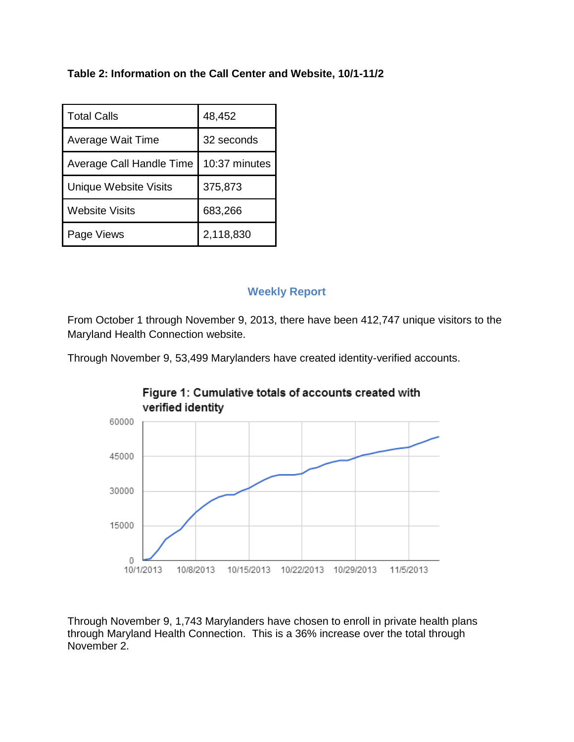## **Table 2: Information on the Call Center and Website, 10/1-11/2**

| <b>Total Calls</b>           | 48,452        |
|------------------------------|---------------|
| Average Wait Time            | 32 seconds    |
| Average Call Handle Time     | 10:37 minutes |
| <b>Unique Website Visits</b> | 375,873       |
| Website Visits               | 683,266       |
| Page Views                   | 2,118,830     |

## **Weekly Report**

From October 1 through November 9, 2013, there have been 412,747 unique visitors to the Maryland Health Connection website.

Through November 9, 53,499 Marylanders have created identity-verified accounts.



Through November 9, 1,743 Marylanders have chosen to enroll in private health plans through Maryland Health Connection. This is a 36% increase over the total through November 2.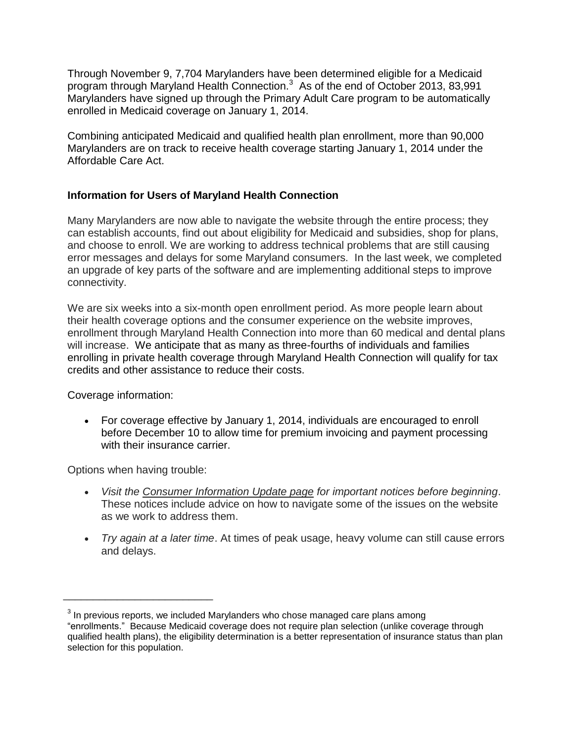Through November 9, 7,704 Marylanders have been determined eligible for a Medicaid program through Maryland Health Connection.<sup>3</sup> As of the end of October 2013, 83,991 Marylanders have signed up through the Primary Adult Care program to be automatically enrolled in Medicaid coverage on January 1, 2014.

Combining anticipated Medicaid and qualified health plan enrollment, more than 90,000 Marylanders are on track to receive health coverage starting January 1, 2014 under the Affordable Care Act.

#### **Information for Users of Maryland Health Connection**

Many Marylanders are now able to navigate the website through the entire process; they can establish accounts, find out about eligibility for Medicaid and subsidies, shop for plans, and choose to enroll. We are working to address technical problems that are still causing error messages and delays for some Maryland consumers. In the last week, we completed an upgrade of key parts of the software and are implementing additional steps to improve connectivity.

We are six weeks into a six-month open enrollment period. As more people learn about their health coverage options and the consumer experience on the website improves, enrollment through Maryland Health Connection into more than 60 medical and dental plans will increase. We anticipate that as many as three-fourths of individuals and families enrolling in private health coverage through Maryland Health Connection will qualify for tax credits and other assistance to reduce their costs.

Coverage information:

 For coverage effective by January 1, 2014, individuals are encouraged to enroll before December 10 to allow time for premium invoicing and payment processing with their insurance carrier.

Options when having trouble:

\_\_\_\_\_\_\_\_\_\_\_\_\_\_\_\_\_\_\_\_\_\_\_\_\_

- *Visit the [Consumer Information Update page](http://www.marylandhealthconnection.gov/consumer-information-update) for important notices before beginning*. These notices include advice on how to navigate some of the issues on the website as we work to address them.
- *Try again at a later time*. At times of peak usage, heavy volume can still cause errors and delays.

 $3$  In previous reports, we included Marylanders who chose managed care plans among "enrollments." Because Medicaid coverage does not require plan selection (unlike coverage through qualified health plans), the eligibility determination is a better representation of insurance status than plan selection for this population.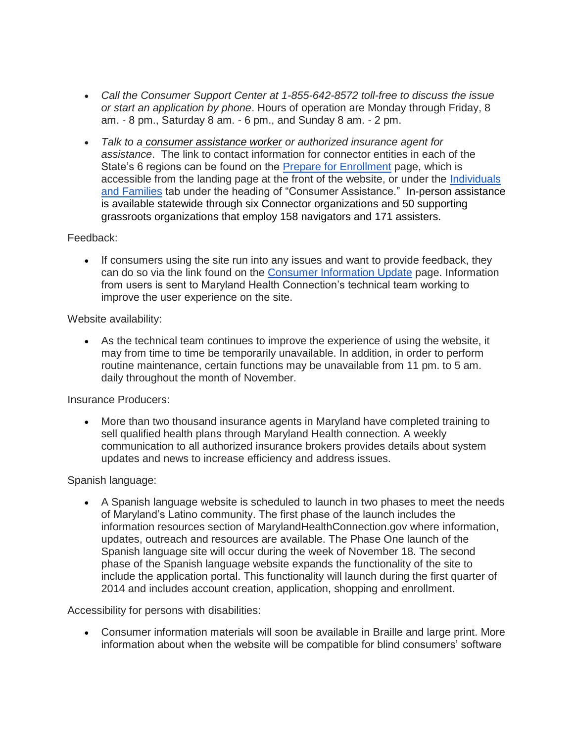- *Call the Consumer Support Center at 1-855-642-8572 toll-free to discuss the issue or start an application by phone*. Hours of operation are Monday through Friday, 8 am. - 8 pm., Saturday 8 am. - 6 pm., and Sunday 8 am. - 2 pm.
- *Talk to a [consumer assistance worker](http://www.marylandhealthconnection.gov/health-insurance-in-maryland/help-with-health-insurance/health-insurance-support) or authorized insurance agent for assistance*. The link to contact information for connector entities in each of the State's 6 regions can be found on the [Prepare for Enrollment](http://www.marylandhealthconnection.gov/health-coverage-resources/enrollment-guide) page, which is accessible from the landing page at the front of the website, or under the [Individuals](http://www.marylandhealthconnection.gov/health-insurance-in-maryland)  [and Families](http://www.marylandhealthconnection.gov/health-insurance-in-maryland) tab under the heading of "Consumer Assistance." In-person assistance is available statewide through six Connector organizations and 50 supporting grassroots organizations that employ 158 navigators and 171 assisters.

#### Feedback:

• If consumers using the site run into any issues and want to provide feedback, they can do so via the link found on the [Consumer Information Update](http://www.marylandhealthconnection.gov/consumer-information-update) page. Information from users is sent to Maryland Health Connection's technical team working to improve the user experience on the site.

#### Website availability:

 As the technical team continues to improve the experience of using the website, it may from time to time be temporarily unavailable. In addition, in order to perform routine maintenance, certain functions may be unavailable from 11 pm. to 5 am. daily throughout the month of November.

Insurance Producers:

 More than two thousand insurance agents in Maryland have completed training to sell qualified health plans through Maryland Health connection. A weekly communication to all authorized insurance brokers provides details about system updates and news to increase efficiency and address issues.

#### Spanish language:

 A Spanish language website is scheduled to launch in two phases to meet the needs of Maryland's Latino community. The first phase of the launch includes the information resources section of MarylandHealthConnection.gov where information, updates, outreach and resources are available. The Phase One launch of the Spanish language site will occur during the week of November 18. The second phase of the Spanish language website expands the functionality of the site to include the application portal. This functionality will launch during the first quarter of 2014 and includes account creation, application, shopping and enrollment.

Accessibility for persons with disabilities:

 Consumer information materials will soon be available in Braille and large print. More information about when the website will be compatible for blind consumers' software